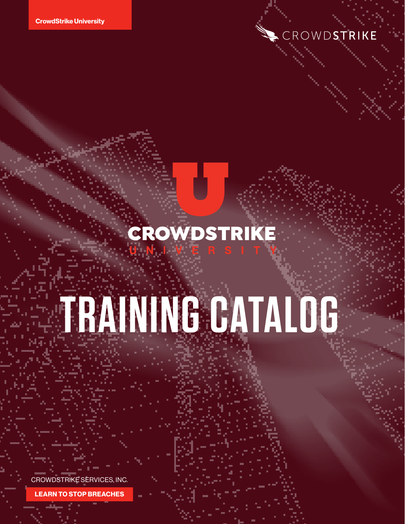### CROWDSTRIKE

# CROWDSTRIKE

۰

# **TRAINING CATALOG**

CROWDSTRIKE SERVICES, INC.

**LEARN TO STOP BREACHES**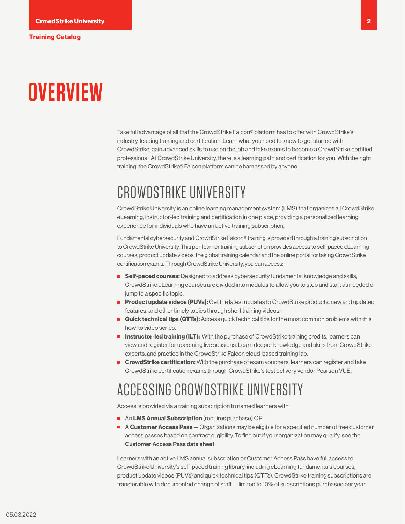# **OVERVIEW**

Take full advantage of all that the CrowdStrike Falcon® platform has to offer with CrowdStrike's industry-leading training and certification. Learn what you need to know to get started with CrowdStrike, gain advanced skills to use on the job and take exams to become a CrowdStrike certified professional. At CrowdStrike University, there is a learning path and certification for you. With the right training, the CrowdStrike® Falcon platform can be harnessed by anyone.

# CROWDSTRIKE UNIVERSITY

CrowdStrike University is an online learning management system (LMS) that organizes all CrowdStrike eLearning, instructor-led training and certification in one place, providing a personalized learning experience for individuals who have an active training subscription.

Fundamental cybersecurity and CrowdStrike Falcon® training is provided through a training subscription to CrowdStrike University. This per-learner training subscription provides access to self-paced eLearning courses, product update videos, the global training calendar and the online portal for taking CrowdStrike certification exams. Through CrowdStrike University, you can access:

- **Self-paced courses:** Designed to address cybersecurity fundamental knowledge and skills, CrowdStrike eLearning courses are divided into modules to allow you to stop and start as needed or jump to a specific topic.
- **Product update videos (PUVs):** Get the latest updates to CrowdStrike products, new and updated features, and other timely topics through short training videos.
- **Quick technical tips (QTTs):** Access quick technical tips for the most common problems with this how-to video series.
- **Instructor-led training (ILT):** With the purchase of CrowdStrike training credits, learners can view and register for upcoming live sessions. Learn deeper knowledge and skills from CrowdStrike experts, and practice in the CrowdStrike Falcon cloud-based training lab.
- **CrowdStrike certification:** With the purchase of exam vouchers, learners can register and take CrowdStrike certification exams through CrowdStrike's test delivery vendor Pearson VUE.

# ACCESSING CROWDSTRIKE UNIVERSITY

Access is provided via a training subscription to named learners with:

- **<sup>** $\blacksquare$  **An LMS Annual Subscription** (requires purchase) OR</sup>
- **A Customer Access Pass** Organizations may be eligible for a specified number of free customer access passes based on contract eligibility. To find out if your organization may qualify, see the [Customer Access Pass data sheet](https://www.crowdstrike.com/wp-content/uploads/2020/03/customer-access-pass-datasheet.pdf).

Learners with an active LMS annual subscription or Customer Access Pass have full access to CrowdStrike University's self-paced training library, including eLearning fundamentals courses, product update videos (PUVs) and quick technical tips (QTTs). CrowdStrike training subscriptions are transferable with documented change of staff — limited to 10% of subscriptions purchased per year.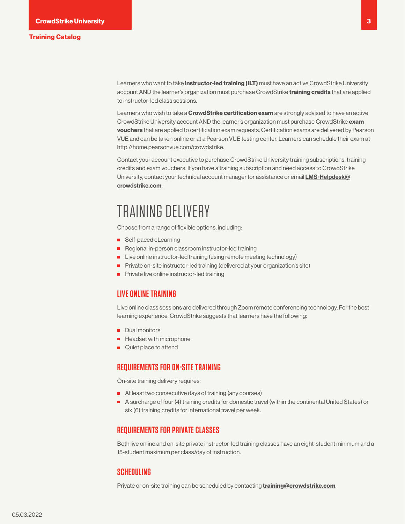Learners who want to take **instructor-led training (ILT)** must have an active CrowdStrike University account AND the learner's organization must purchase CrowdStrike **training credits** that are applied to instructor-led class sessions.

Learners who wish to take a **CrowdStrike certification exam** are strongly advised to have an active CrowdStrike University account AND the learner's organization must purchase CrowdStrike **exam vouchers** that are applied to certification exam requests. Certification exams are delivered by Pearson VUE and can be taken online or at a Pearson VUE testing center. Learners can schedule their exam at http://home.pearsonvue.com/crowdstrike.

Contact your account executive to purchase CrowdStrike University training subscriptions, training credits and exam vouchers. If you have a training subscription and need access to CrowdStrike University, contact your technical account manager for assistance or email **[LMS-Helpdesk@](mailto:LMS-Helpdesk%40crowdstrike.com?subject=)** [crowdstrike.com](mailto:LMS-Helpdesk%40crowdstrike.com?subject=).

### TRAINING DELIVERY

Choose from a range of flexible options, including:

- **B** Self-paced eLearning
- **•** Regional in-person classroom instructor-led training
- **E** Live online instructor-led training (using remote meeting technology)
- **Private on-site instructor-led training (delivered at your organization's site)**
- **•** Private live online instructor-led training

#### **LIVE ONLINE TRAINING**

Live online class sessions are delivered through Zoom remote conferencing technology. For the best learning experience, CrowdStrike suggests that learners have the following:

- **•** Dual monitors
- **Headset with microphone**
- **Quiet place to attend**

#### **REQUIREMENTS FOR ON-SITE TRAINING**

On-site training delivery requires:

- At least two consecutive days of training (any courses)
- A surcharge of four (4) training credits for domestic travel (within the continental United States) or six (6) training credits for international travel per week.

#### **REQUIREMENTS FOR PRIVATE CLASSES**

Both live online and on-site private instructor-led training classes have an eight-student minimum and a 15-student maximum per class/day of instruction.

#### **SCHEDULING**

Private or on-site training can be scheduled by contacting **[training@crowdstrike.com](mailto:training%40crowdstrike.com?subject=)**.

05.03.2022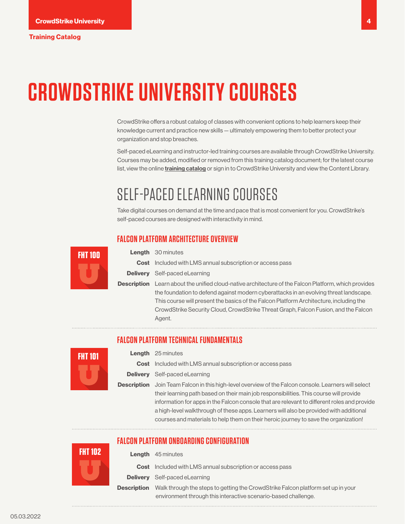# **CROWDSTRIKE UNIVERSITY COURSES**

CrowdStrike offers a robust catalog of classes with convenient options to help learners keep their knowledge current and practice new skills — ultimately empowering them to better protect your organization and stop breaches.

Self-paced eLearning and instructor-led training courses are available through CrowdStrike University. Courses may be added, modified or removed from this training catalog document; for the latest course list, view the online [training catalog](https://www.crowdstrike.com/wp-content/brochures/cs-university/CrowdStrike_Training_Catalog_EX.pdf) or sign in to CrowdStrike University and view the Content Library.

# SELF-PACED ELEARNING COURSES

Take digital courses on demand at the time and pace that is most convenient for you. CrowdStrike's self-paced courses are designed with interactivity in mind.

#### **FALCON PLATFORM ARCHITECTURE OVERVIEW**

**Length** 30 minutes



| Cost            | Included with LMS annual subscription or access pass                                     |  |  |
|-----------------|------------------------------------------------------------------------------------------|--|--|
| <b>Delivery</b> | Self-paced eLearning                                                                     |  |  |
| Description     | Learn about the unified cloud-native architecture of the Falcon Platform, which provides |  |  |
|                 | the foundation to defend against modern cyberattacks in an evolving threat landscape.    |  |  |
|                 | This course will present the basics of the Falcon Platform Architecture, including the   |  |  |
|                 | CrowdStrike Security Cloud, CrowdStrike Threat Graph, Falcon Fusion, and the Falcon      |  |  |
|                 | Agent.                                                                                   |  |  |

#### **FALCON PLATFORM TECHNICAL FUNDAMENTALS**



|      | <b>Length</b> 25 minutes                                                                             |  |  |
|------|------------------------------------------------------------------------------------------------------|--|--|
| Cost | Included with LMS annual subscription or access pass                                                 |  |  |
|      | <b>Delivery</b> Self-paced eLearning                                                                 |  |  |
|      | Description Join Team Falcon in this high-level overview of the Falcon console. Learners will select |  |  |
|      | their learning path based on their main job responsibilities. This course will provide               |  |  |
|      | information for apps in the Falcon console that are relevant to different roles and provid           |  |  |
|      |                                                                                                      |  |  |

information for apps in the Falcon console that are relevant to different roles and provide a high-level walkthrough of these apps. Learners will also be provided with additional courses and materials to help them on their heroic journey to save the organization!

#### **FALCON PLATFORM ONBOARDING CONFIGURATION**



**Length** 45 minutes

**Cost** Included with LMS annual subscription or access pass

**Delivery** Self-paced eLearning

**Description** Walk through the steps to getting the CrowdStrike Falcon platform set up in your environment through this interactive scenario-based challenge.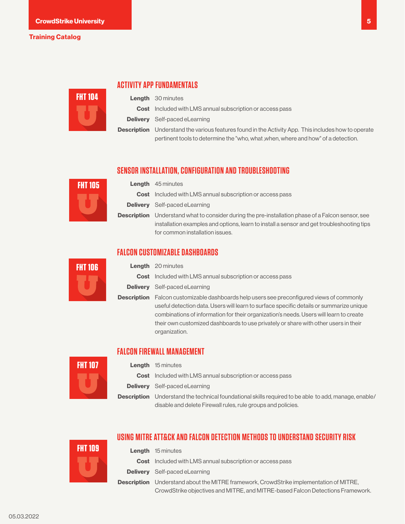

| ACTIVITY APP FUNDAMENTALS |  |
|---------------------------|--|
|---------------------------|--|

|      | <b>Length</b> 30 minutes                                                                                   |  |  |
|------|------------------------------------------------------------------------------------------------------------|--|--|
| Cost | Included with LMS annual subscription or access pass                                                       |  |  |
|      | <b>Delivery</b> Self-paced eLearning                                                                       |  |  |
|      | <b>Description</b> Understand the various features found in the Activity App. This includes how to operate |  |  |
|      | pertinent tools to determine the "who, what, when, where and how" of a detection.                          |  |  |

#### **SENSOR INSTALLATION, CONFIGURATION AND TROUBLESHOOTING**



|             | <b>Length</b> 45 minutes                                                                                                                                                                                              |  |  |  |
|-------------|-----------------------------------------------------------------------------------------------------------------------------------------------------------------------------------------------------------------------|--|--|--|
| Cost        | Included with LMS annual subscription or access pass                                                                                                                                                                  |  |  |  |
|             | <b>Delivery</b> Self-paced eLearning                                                                                                                                                                                  |  |  |  |
| Description | Understand what to consider during the pre-installation phase of a Falcon sensor, see<br>installation examples and options, learn to install a sensor and get troubleshooting tips<br>for common installation issues. |  |  |  |

#### **FALCON CUSTOMIZABLE DASHBOARDS**



**FHT 107**

|                    | <b>Length</b> 20 minutes                                                                                                                                                                                                                                                                                                                                                   |  |  |
|--------------------|----------------------------------------------------------------------------------------------------------------------------------------------------------------------------------------------------------------------------------------------------------------------------------------------------------------------------------------------------------------------------|--|--|
| Cost               | Included with LMS annual subscription or access pass                                                                                                                                                                                                                                                                                                                       |  |  |
|                    | <b>Delivery</b> Self-paced eLearning                                                                                                                                                                                                                                                                                                                                       |  |  |
| <b>Description</b> | Falcon customizable dashboards help users see preconfigured views of commonly<br>useful detection data. Users will learn to surface specific details or summarize unique<br>combinations of information for their organization's needs. Users will learn to create<br>their own customized dashboards to use privately or share with other users in their<br>organization. |  |  |

#### **FALCON FIREWALL MANAGEMENT**

|                    | <b>Length</b> 15 minutes                                                                 |  |
|--------------------|------------------------------------------------------------------------------------------|--|
| Cost               | Included with LMS annual subscription or access pass                                     |  |
|                    | <b>Delivery</b> Self-paced eLearning                                                     |  |
| <b>Description</b> | Understand the technical foundational skills required to be able to add, manage, enable/ |  |
|                    | disable and delete Firewall rules, rule groups and policies.                             |  |

#### **USING MITRE ATT&CK AND FALCON DETECTION METHODS TO UNDERSTAND SECURITY RISK**

|  | <b>FHT 109</b> |  |
|--|----------------|--|
|  |                |  |

|                    | <b>Length</b> 15 minutes                                                       |  |  |
|--------------------|--------------------------------------------------------------------------------|--|--|
| Cost               | Included with LMS annual subscription or access pass                           |  |  |
|                    | <b>Delivery</b> Self-paced eLearning                                           |  |  |
| <b>Description</b> | Understand about the MITRE framework, CrowdStrike implementation of MITRE,     |  |  |
|                    | CrowdStrike objectives and MITRE, and MITRE-based Falcon Detections Framework. |  |  |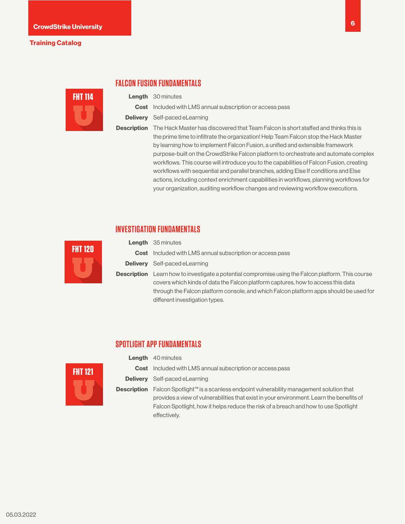

| FALCON FUSION FUNDAMENTALS |  |  |  |  |  |
|----------------------------|--|--|--|--|--|
|----------------------------|--|--|--|--|--|

**Length** 30 minutes

**Cost** Included with LMS annual subscription or access pass **Delivery** Self-paced eLearning **Description** The Hack Master has discovered that Team Falcon is short staffed and thinks this is the prime time to infiltrate the organization! Help Team Falcon stop the Hack Master by learning how to implement Falcon Fusion, a unified and extensible framework purpose-built on the CrowdStrike Falcon platform to orchestrate and automate complex

workflows. This course will introduce you to the capabilities of Falcon Fusion, creating workflows with sequential and parallel branches, adding Else If conditions and Else actions, including context enrichment capabilities in workflows, planning workflows for your organization, auditing workflow changes and reviewing workflow executions.

#### **INVESTIGATION FUNDAMENTALS**

**Length** 35 minutes



| Cost | Included with LMS annual subscription or access pass                                                                                                                                                                                                                                                                      |  |  |  |
|------|---------------------------------------------------------------------------------------------------------------------------------------------------------------------------------------------------------------------------------------------------------------------------------------------------------------------------|--|--|--|
|      | <b>Delivery</b> Self-paced eLearning                                                                                                                                                                                                                                                                                      |  |  |  |
|      | <b>Description</b> Learn how to investigate a potential compromise using the Falcon platform. This course<br>covers which kinds of data the Falcon platform captures, how to access this data<br>through the Falcon platform console, and which Falcon platform apps should be used for<br>different investigation types. |  |  |  |

#### **SPOTLIGHT APP FUNDAMENTALS**

**Length** 40 minutes



| <b>Cost</b> Included with LMS annual subscription or access pass                                   |  |
|----------------------------------------------------------------------------------------------------|--|
| <b>Delivery</b> Self-paced eLearning                                                               |  |
| <b>Description</b> Falcon Spotlight™ is a scanless endpoint vulnerability management solution that |  |
| provides a view of vulnerabilities that exist in your environment. Learn the benefits of           |  |
| Falcon Spotlight, how it helps reduce the risk of a breach and how to use Spotlight                |  |
| effectively.                                                                                       |  |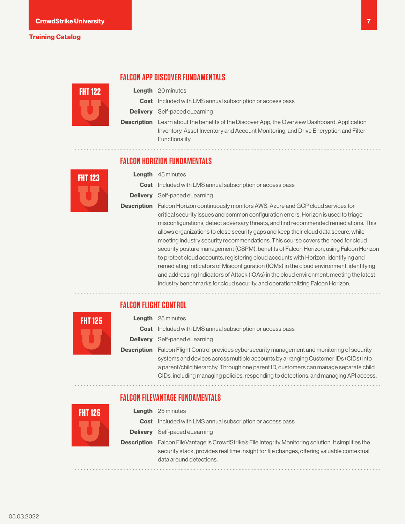

|                                                                                                         | <b>Length</b> 20 minutes                                                           |  |
|---------------------------------------------------------------------------------------------------------|------------------------------------------------------------------------------------|--|
| <b>Cost</b> Included with LMS annual subscription or access pass                                        |                                                                                    |  |
|                                                                                                         | <b>Delivery</b> Self-paced eLearning                                               |  |
| Learn about the benefits of the Discover App, the Overview Dashboard, Application<br><b>Description</b> |                                                                                    |  |
|                                                                                                         | Inventory, Asset Inventory and Account Monitoring, and Drive Encryption and Filter |  |
|                                                                                                         | Functionality.                                                                     |  |

#### **FALCON HORIZION FUNDAMENTALS**

**FALCON APP DISCOVER FUNDAMENTALS**



**Length** 45 minutes **Cost** Included with LMS annual subscription or access pass **Delivery** Self-paced eLearning **Description** Falcon Horizon continuously monitors AWS, Azure and GCP cloud services for critical security issues and common configuration errors. Horizon is used to triage misconfigurations, detect adversary threats, and find recommended remediations. This allows organizations to close security gaps and keep their cloud data secure, while meeting industry security recommendations. This course covers the need for cloud security posture management (CSPM), benefits of Falcon Horizon, using Falcon Horizon to protect cloud accounts, registering cloud accounts with Horizon, identifying and remediating Indicators of Misconfiguration (IOMs) in the cloud environment, identifying and addressing Indicators of Attack (IOAs) in the cloud environment, meeting the latest industry benchmarks for cloud security, and operationalizing Falcon Horizon.

#### **FALCON FLIGHT CONTROL**



**FHT 126**

**Length** 25 minutes **Cost** Included with LMS annual subscription or access pass **Delivery** Self-paced eLearning **Description** Falcon Flight Control provides cybersecurity management and monitoring of security systems and devices across multiple accounts by arranging Customer IDs (CIDs) into a parent/child hierarchy. Through one parent ID, customers can manage separate child CIDs, including managing policies, responding to detections, and managing API access.

#### **FALCON FILEVANTAGE FUNDAMENTALS**

| r 126 | <b>Length</b> 25 minutes                                                                                     |
|-------|--------------------------------------------------------------------------------------------------------------|
|       | <b>Cost</b> Included with LMS annual subscription or access pass                                             |
|       | <b>Delivery</b> Self-paced eLearning                                                                         |
|       | <b>Description</b> Falcon FileVantage is CrowdStrike's File Integrity Monitoring solution. It simplifies the |
|       | security stack, provides real time insight for file changes, offering valuable contextual                    |
|       | data around detections.                                                                                      |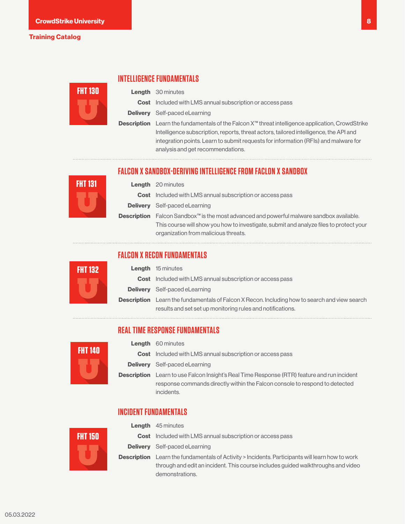

|  |  |  | INTELLIGENCE FUNDAMENTALS |  |
|--|--|--|---------------------------|--|
|--|--|--|---------------------------|--|

|      | <b>Length</b> 30 minutes                                                                                                      |  |  |
|------|-------------------------------------------------------------------------------------------------------------------------------|--|--|
| Cost | Included with LMS annual subscription or access pass                                                                          |  |  |
|      | <b>Delivery</b> Self-paced eLearning                                                                                          |  |  |
|      | <b>Description</b> Learn the fundamentals of the Falcon $X^{\prime\prime\prime}$ threat intelligence application, CrowdStrike |  |  |
|      |                                                                                                                               |  |  |

Intelligence subscription, reports, threat actors, tailored intelligence, the API and integration points. Learn to submit requests for information (RFIs) and malware for analysis and get recommendations.

#### **FALCON X SANDBOX-DERIVING INTELLIGENCE FROM FACLON X SANDBOX**



**FHT 132**

|                    | <b>Length</b> 20 minutes                                                                 |  |  |
|--------------------|------------------------------------------------------------------------------------------|--|--|
| Cost               | Included with LMS annual subscription or access pass                                     |  |  |
|                    | <b>Delivery</b> Self-paced eLearning                                                     |  |  |
| <b>Description</b> | Falcon Sandbox <sup>™</sup> is the most advanced and powerful malware sandbox available. |  |  |
|                    | This course will show you how to investigate, submit and analyze files to protect your   |  |  |
|                    | organization from malicious threats.                                                     |  |  |

#### **FALCON X RECON FUNDAMENTALS**

|                    | <b>Length</b> 15 minutes                                                          |
|--------------------|-----------------------------------------------------------------------------------|
|                    | <b>Cost</b> Included with LMS annual subscription or access pass                  |
|                    | <b>Delivery</b> Self-paced eLearning                                              |
| <b>Description</b> | Learn the fundamentals of Falcon X Recon. Including how to search and view search |
|                    | results and set set up monitoring rules and notifications.                        |
|                    |                                                                                   |

#### **REAL TIME RESPONSE FUNDAMENTALS**



|                                                                                                    | <b>Length</b> 60 minutes                                                    |  |
|----------------------------------------------------------------------------------------------------|-----------------------------------------------------------------------------|--|
|                                                                                                    | <b>Cost</b> Included with LMS annual subscription or access pass            |  |
|                                                                                                    | <b>Delivery</b> Self-paced eLearning                                        |  |
| <b>Description</b> Learn to use Falcon Insight's Real Time Response (RTR) feature and run incident |                                                                             |  |
|                                                                                                    | response commands directly within the Falcon console to respond to detected |  |

#### **INCIDENT FUNDAMENTALS**



**Length** 45 minutes

incidents.

**Cost** Included with LMS annual subscription or access pass

**Delivery** Self-paced eLearning

**Description** Learn the fundamentals of Activity > Incidents. Participants will learn how to work through and edit an incident. This course includes guided walkthroughs and video demonstrations.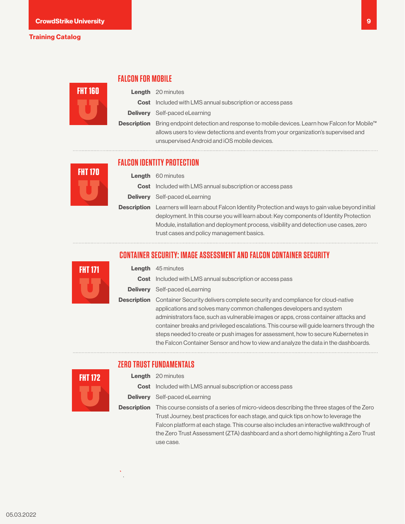

#### **FALCON FOR MOBILE**

**Length** 20 minutes

**Cost** Included with LMS annual subscription or access pass

**Delivery** Self-paced eLearning

**Description** Bring endpoint detection and response to mobile devices. Learn how Falcon for Mobile™ allows users to view detections and events from your organization's supervised and unsupervised Android and iOS mobile devices.

#### **FALCON IDENTITY PROTECTION**

**Length** 45 minutes



|                                                                                                                                                                                                                                                                                                     | <b>Length</b> 60 minutes                             |  |  |
|-----------------------------------------------------------------------------------------------------------------------------------------------------------------------------------------------------------------------------------------------------------------------------------------------------|------------------------------------------------------|--|--|
| Cost                                                                                                                                                                                                                                                                                                | Included with LMS annual subscription or access pass |  |  |
|                                                                                                                                                                                                                                                                                                     | <b>Delivery</b> Self-paced eLearning                 |  |  |
| Learners will learn about Falcon Identity Protection and ways to gain value beyond initial<br><b>Description</b><br>deployment. In this course you will learn about: Key components of Identity Protection<br>Module, installation and deployment process, visibility and detection use cases, zero |                                                      |  |  |
|                                                                                                                                                                                                                                                                                                     | trust cases and policy management basics.            |  |  |

#### **CONTAINER SECURITY: IMAGE ASSESSMENT AND FALCON CONTAINER SECURITY**



|                    | <b>LCINIII</b> 4011111005                                                                                                                                                                                                                                                                                                                                                                                                                                                                                            |  |
|--------------------|----------------------------------------------------------------------------------------------------------------------------------------------------------------------------------------------------------------------------------------------------------------------------------------------------------------------------------------------------------------------------------------------------------------------------------------------------------------------------------------------------------------------|--|
| Cost               | Included with LMS annual subscription or access pass                                                                                                                                                                                                                                                                                                                                                                                                                                                                 |  |
| <b>Delivery</b>    | Self-paced eLearning                                                                                                                                                                                                                                                                                                                                                                                                                                                                                                 |  |
| <b>Description</b> | Container Security delivers complete security and compliance for cloud-native<br>applications and solves many common challenges developers and system<br>administrators face, such as vulnerable images or apps, cross container attacks and<br>container breaks and privileged escalations. This course will guide learners through the<br>steps needed to create or push images for assessment, how to secure Kubernetes in<br>the Falcon Container Sensor and how to view and analyze the data in the dashboards. |  |



**`**.

#### **ZERO TRUST FUNDAMENTALS**

| <b>Length</b> 20 minutes                                     |                                                                                                             |
|--------------------------------------------------------------|-------------------------------------------------------------------------------------------------------------|
| Included with LMS annual subscription or access pass<br>Cost |                                                                                                             |
| <b>Delivery</b> Self-paced eLearning                         |                                                                                                             |
|                                                              | <b>Description</b> This course consists of a series of micro-videos describing the three stages of the Zero |
|                                                              | Trust Journey, best practices for each stage, and quick tips on how to leverage the                         |
|                                                              | Falcon platform at each stage. This course also includes an interactive walkthrough of                      |
|                                                              | the Zero Trust Assessment (ZTA) dashboard and a short demo highlighting a Zero Trust                        |
|                                                              | use case.                                                                                                   |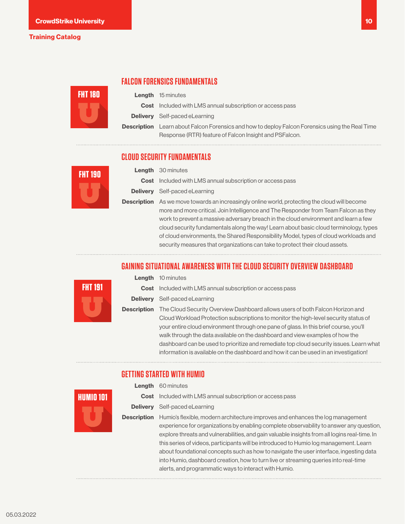

| <b>FALCON FORENSICS FUNDAMENTALS</b> |  |
|--------------------------------------|--|
| <b>Length</b> 15 minutes             |  |

|                                      | <b>Cost</b> Included with LMS annual subscription or access pass                                       |  |
|--------------------------------------|--------------------------------------------------------------------------------------------------------|--|
| <b>Delivery</b> Self-paced eLearning |                                                                                                        |  |
|                                      | <b>Description</b> Learn about Falcon Forensics and how to deploy Falcon Forensics using the Real Time |  |
|                                      | Response (RTR) feature of Falcon Insight and PSFalcon.                                                 |  |

#### **CLOUD SECURITY FUNDAMENTALS**

**Length** 30 minutes



**Cost** Included with LMS annual subscription or access pass **Delivery** Self-paced eLearning **Description** As we move towards an increasingly online world, protecting the cloud will become more and more critical. Join Intelligence and The Responder from Team Falcon as they work to prevent a massive adversary breach in the cloud environment and learn a few cloud security fundamentals along the way! Learn about basic cloud terminology, types

security measures that organizations can take to protect their cloud assets.

of cloud environments, the Shared Responsibility Model, types of cloud workloads and

### **GAINING SITUATIONAL AWARENESS WITH THE CLOUD SECURITY OVERVIEW DASHBOARD**



|                 | <b>Cost</b> Included with LMS annual subscription or access pass                                                                                                                                                                                                                                                                                                                                                                           |
|-----------------|--------------------------------------------------------------------------------------------------------------------------------------------------------------------------------------------------------------------------------------------------------------------------------------------------------------------------------------------------------------------------------------------------------------------------------------------|
| <b>Delivery</b> | Self-paced eLearning                                                                                                                                                                                                                                                                                                                                                                                                                       |
| Description     | The Cloud Security Overview Dashboard allows users of both Falcon Horizon and<br>Cloud Workload Protection subscriptions to monitor the high-level security status of<br>your entire cloud environment through one pane of glass. In this brief course, you'll<br>walk through the data available on the dashboard and view examples of how the<br>dashboard can be used to prioritize and remediate top cloud security issues. Learn what |
|                 | information is available on the dashboard and how it can be used in an investigation!                                                                                                                                                                                                                                                                                                                                                      |

#### **GETTING STARTED WITH HUMIO**

**Length** 10 minutes

| I IINU JIANILU WIIN NUN |  |  |
|-------------------------|--|--|
|                         |  |  |

**Length** 60 minutes



**Delivery** Self-paced eLearning



**Description** Humio's flexible, modern architecture improves and enhances the log management experience for organizations by enabling complete observability to answer any question, explore threats and vulnerabilities, and gain valuable insights from all logins real-time. In this series of videos, participants will be introduced to Humio log management. Learn about foundational concepts such as how to navigate the user interface, ingesting data into Humio, dashboard creation, how to turn live or streaming queries into real-time alerts, and programmatic ways to interact with Humio.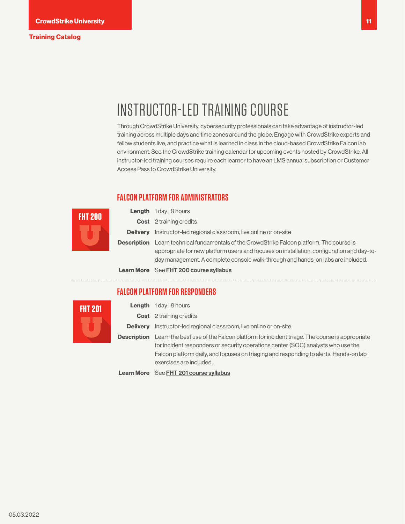**FHT 200**

**FHT 201**

## INSTRUCTOR-LED TRAINING COURSE

Through CrowdStrike University, cybersecurity professionals can take advantage of instructor-led training across multiple days and time zones around the globe. Engage with CrowdStrike experts and fellow students live, and practice what is learned in class in the cloud-based CrowdStrike Falcon lab environment. See the CrowdStrike training calendar for upcoming events hosted by CrowdStrike. All instructor-led training courses require each learner to have an LMS annual subscription or Customer Access Pass to CrowdStrike University.

#### **FALCON PLATFORM FOR ADMINISTRATORS**

|                    | <b>Length</b> $1 \text{day}   8 \text{ hours}$                                                                                                                                                                                                                 |
|--------------------|----------------------------------------------------------------------------------------------------------------------------------------------------------------------------------------------------------------------------------------------------------------|
|                    | <b>Cost</b> 2 training credits                                                                                                                                                                                                                                 |
| <b>Delivery</b>    | Instructor-led regional classroom, live online or on-site                                                                                                                                                                                                      |
| <b>Description</b> | Learn technical fundamentals of the CrowdStrike Falcon platform. The course is<br>appropriate for new platform users and focuses on installation, configuration and day-to-<br>day management. A complete console walk-through and hands-on labs are included. |
|                    | <b>Learn More</b> See FHT 200 course syllabus                                                                                                                                                                                                                  |

#### **FALCON PLATFORM FOR RESPONDERS**

|                    | <b>Length</b> $1 \text{day}   8 \text{ hours}$                                                                                                                                                                                                                                                   |
|--------------------|--------------------------------------------------------------------------------------------------------------------------------------------------------------------------------------------------------------------------------------------------------------------------------------------------|
|                    | <b>Cost</b> 2 training credits                                                                                                                                                                                                                                                                   |
| <b>Delivery</b>    | Instructor-led regional classroom, live online or on-site                                                                                                                                                                                                                                        |
| <b>Description</b> | Learn the best use of the Falcon platform for incident triage. The course is appropriate<br>for incident responders or security operations center (SOC) analysts who use the<br>Falcon platform daily, and focuses on triaging and responding to alerts. Hands-on lab<br>exercises are included. |
|                    |                                                                                                                                                                                                                                                                                                  |

**Learn More** See [FHT 201 course syllabus](https://www.crowdstrike.com/wp-content/uploads/2019/05/FHT-201-Syllabus-08-26-2020.pdf)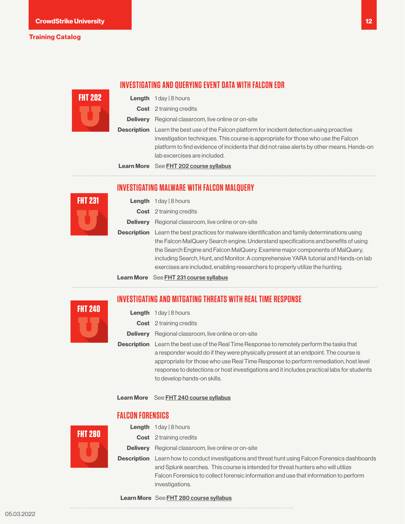

|                    | INTEVITVALINV AND QVEILLINV ETENT DAIA NITH LAEVVN EDIL                                                                                                                                                                                                                                            |  |
|--------------------|----------------------------------------------------------------------------------------------------------------------------------------------------------------------------------------------------------------------------------------------------------------------------------------------------|--|
|                    | <b>Length</b> $1 \text{day}   8 \text{ hours}$                                                                                                                                                                                                                                                     |  |
|                    | <b>Cost</b> 2 training credits                                                                                                                                                                                                                                                                     |  |
| <b>Delivery</b>    | Regional classroom, live online or on-site                                                                                                                                                                                                                                                         |  |
| <b>Description</b> | Learn the best use of the Falcon platform for incident detection using proactive<br>investigation techniques. This course is appropriate for those who use the Falcon<br>platform to find evidence of incidents that did not raise alerts by other means. Hands-on<br>lab excercises are included. |  |
|                    | <b>Learn More</b> See FHT 202 course syllabus                                                                                                                                                                                                                                                      |  |

#### **INVESTIGATING MALWARE WITH FALCON MALQUERY**

 **INVESTIGATING AND QUERYING EVENT DATA WITH FALCON EDR** 

| <b>FHT 231</b> |                 | <b>Length</b> $1 \text{day}   8 \text{ hours}$                                                         |
|----------------|-----------------|--------------------------------------------------------------------------------------------------------|
|                |                 | <b>Cost</b> 2 training credits                                                                         |
|                | <b>Delivery</b> | Regional classroom, live online or on-site                                                             |
|                |                 | <b>Description</b> Learn the best practices for malware identification and family determinations using |
|                |                 | the Falcon MalQuery Search engine. Understand specifications and benefits of using                     |
|                |                 | the Search Engine and Falcon MalQuery. Examine major components of MalQuery,                           |
|                |                 | including Search, Hunt, and Monitor. A comprehensive YARA tutorial and Hands-on lab                    |
|                |                 | exercises are included, enabling researchers to properly utilize the hunting.                          |

**Learn More** See [FHT 231 course syllabu](https://www.crowdstrike.com/wp-content/uploads/2020/03/fht-231-course-outline.pdf)s

#### **INVESTIGATING AND MITGATING THREATS WITH REAL TIME RESPONSE**



Length 1 day | 8 hours

**Cost** 2 training credits

**Delivery** Regional classroom, live online or on-site

**Description** Learn the best use of the Real Time Response to remotely perform the tasks that a responder would do if they were physically present at an endpoint. The course is appropriate for those who use Real Time Response to perform remediation, host level response to detections or host investigations and it includes practical labs for students to develop hands-on skills.

**Learn More** See [FHT 240 course syllabu](https://www.crowdstrike.com/wp-content/uploads/2020/07/fht-240-course-syllabus.pdf)s

#### **[FALCON FORENSICS](https://www.crowdstrike.com/wp-content/uploads/2020/07/fht-240-course-syllabus.pdf)**

Length [1 day | 8 hours](https://www.crowdstrike.com/wp-content/uploads/2020/07/fht-240-course-syllabus.pdf) **Cost** [2 training credits](https://www.crowdstrike.com/wp-content/uploads/2020/07/fht-240-course-syllabus.pdf)



**Delivery** [Regional classroom, live online or on-site](https://www.crowdstrike.com/wp-content/uploads/2020/07/fht-240-course-syllabus.pdf) **Description** [Learn how to conduct investigations and threat hunt using Falcon Forensics dashboards](https://www.crowdstrike.com/wp-content/uploads/2020/07/fht-240-course-syllabus.pdf)  [and Splunk searches. This course is intended for threat hunters who will utilize](https://www.crowdstrike.com/wp-content/uploads/2020/07/fht-240-course-syllabus.pdf)  [Falcon Forensics to collect forensic information and use that information to perform](https://www.crowdstrike.com/wp-content/uploads/2020/07/fht-240-course-syllabus.pdf)  [investigations.](https://www.crowdstrike.com/wp-content/uploads/2020/07/fht-240-course-syllabus.pdf)

#### **Learn More** See [FHT 280 course syllabus](http://)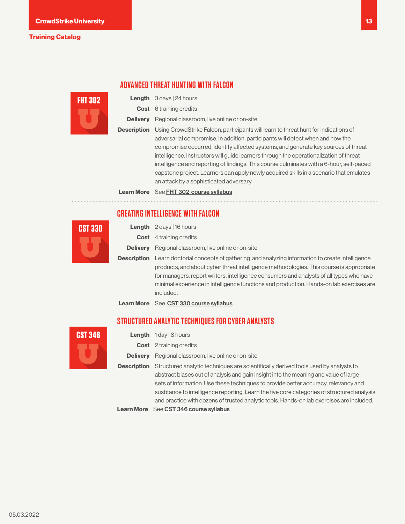#### **ADVANCED THREAT HUNTING WITH FALCON**

**Length** 3 days | 24 hours **Cost** 6 training credits



**Delivery** Regional classroom, live online or on-site **Description** Using CrowdStrike Falcon, participants will learn to threat hunt for indications of adversarial compromise. In addition, participants will detect when and how the compromise occurred, identify affected systems, and generate key sources of threat intelligence. Instructors will guide learners through the operationalization of threat intelligence and reporting of findings. This course culminates with a 6-hour, self-paced capstone project. Learners can apply newly acquired skills in a scenario that emulates an attack by a sophisticated adversary.

**Learn More** See FHT 302 [course syllabus](https://www.crowdstrike.com/wp-content/uploads/2021/04/fht-302-course-syllabus.pdf)

#### **CREATING INTELLIGENCE WITH FALCON**

| <b>CST 330</b> |  |
|----------------|--|
|                |  |

|                 | <b>Length</b> $2 \text{ days}$ 16 hours                                                                                                                                                                                                                                                                                                                                              |  |
|-----------------|--------------------------------------------------------------------------------------------------------------------------------------------------------------------------------------------------------------------------------------------------------------------------------------------------------------------------------------------------------------------------------------|--|
|                 | <b>Cost</b> 4 training credits                                                                                                                                                                                                                                                                                                                                                       |  |
| <b>Delivery</b> | Regional classroom, live online or on-site                                                                                                                                                                                                                                                                                                                                           |  |
| Description     | Learn doctorial concepts of gathering and analyzing information to create intelligence<br>products, and about cyber threat intelligence methodologies. This course is appropriate<br>for managers, report writers, intelligence consumers and analysts of all types who have<br>minimal experience in intelligence functions and production. Hands-on lab exercises are<br>included. |  |

Learn More See [CST 330 course syllabus](https://www.crowdstrike.com/wp-content/uploads/2020/03/cst-330-course-syllabus.pdf)

#### **STRUCTURED ANALYTIC TECHNIQUES FOR CYBER ANALYSTS**



|                 | <b>Length</b> $1 \text{day}   8 \text{ hours}$                                             |  |
|-----------------|--------------------------------------------------------------------------------------------|--|
|                 | <b>Cost</b> 2 training credits                                                             |  |
| <b>Delivery</b> | Regional classroom, live online or on-site                                                 |  |
| Description     | Structured analytic techniques are scientifically derived tools used by analysts to        |  |
|                 | abstract biases out of analysis and gain insight into the meaning and value of large       |  |
|                 | sets of information. Use these techniques to provide better accuracy, relevancy and        |  |
|                 | susbtance to intelligence reporting. Learn the five core categories of structured analysis |  |
|                 | and practice with dozens of trusted analytic tools. Hands-on lab exercises are included.   |  |

**Learn More** See [CST 346 course syllabus](https://www.crowdstrike.com/wp-content/uploads/2020/03/cst-346-course-syllabus.pdf)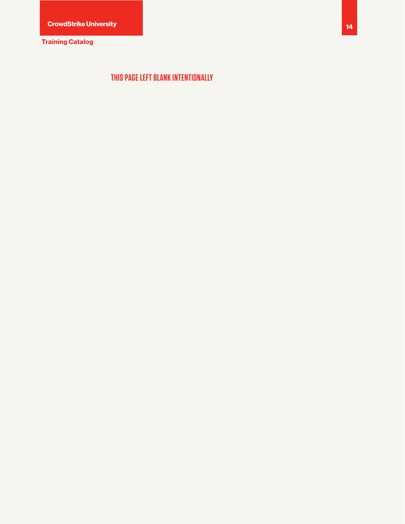**THIS PAGE LEFT BLANK INTENTIONALLY**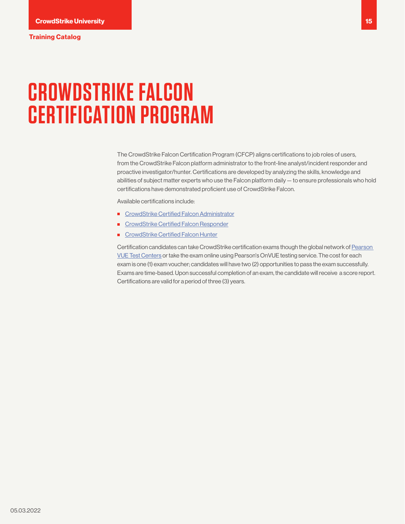# **CROWDSTRIKE FALCON CERTIFICATION PROGRAM**

The CrowdStrike Falcon Certification Program (CFCP) aligns certifications to job roles of users, from the CrowdStrike Falcon platform administrator to the front-line analyst/incident responder and proactive investigator/hunter. Certifications are developed by analyzing the skills, knowledge and abilities of subject matter experts who use the Falcon platform daily — to ensure professionals who hold certifications have demonstrated proficient use of CrowdStrike Falcon.

Available certifications include:

- [CrowdStrike Certified Falcon Administrator](https://www.crowdstrike.com/wp-content/uploads/2021/01/ccfa-certification-exam-guide.pdf)
- [CrowdStrike Certified Falcon Responder](https://www.crowdstrike.com/wp-content/uploads/2021/01/ccfr-certification-exam-guide.pdf)
- [CrowdStrike Certified Falcon Hunter](https://www.crowdstrike.com/wp-content/uploads/2021/01/ccfh-certification-exam-guide.pdf)

Certification candidates can take CrowdStrike certification exams though the global network of [Pearson](https://home.pearsonvue.com/crowdstrike)  [VUE Test Centers](https://home.pearsonvue.com/crowdstrike) or take the exam online using Pearson's OnVUE testing service. The cost for each exam is one (1) exam voucher; candidates will have two (2) opportunities to pass the exam successfully. Exams are time-based. Upon successful completion of an exam, the candidate will receive a score report. Certifications are valid for a period of three (3) years.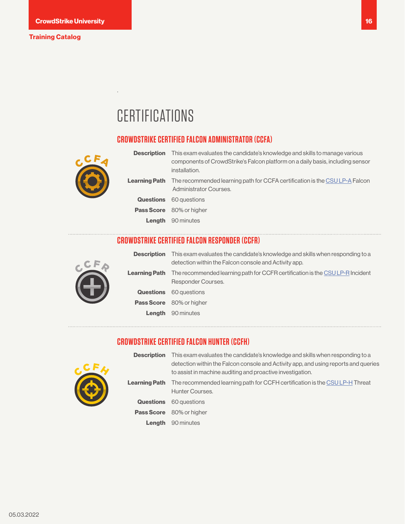### **CERTIFICATIONS**

.

#### **CROWDSTRIKE CERTIFIED FALCON ADMINISTRATOR (CCFA)**



| <b>Description</b> | This exam evaluates the candidate's knowledge and skills to manage various<br>components of CrowdStrike's Falcon platform on a daily basis, including sensor<br>installation. |
|--------------------|-------------------------------------------------------------------------------------------------------------------------------------------------------------------------------|
|                    | <b>Learning Path</b> The recommended learning path for CCFA certification is the CSULP-A Falcon<br>Administrator Courses.                                                     |
| <b>Questions</b>   | 60 questions                                                                                                                                                                  |
|                    | <b>Pass Score</b> 80% or higher                                                                                                                                               |
| Lenath             | 90 minutes                                                                                                                                                                    |

#### **CROWDSTRIKE CERTIFIED FALCON RESPONDER (CCFR)**



| This exam evaluates the candidate's knowledge and skills when responding to a<br>detection within the Falcon console and Activity app. |
|----------------------------------------------------------------------------------------------------------------------------------------|
| <b>Learning Path</b> The recommended learning path for CCFR certification is the CSU LP-R Incident<br>Responder Courses.               |
| 60 questions                                                                                                                           |
| <b>Pass Score</b> 80% or higher                                                                                                        |
| 90 minutes                                                                                                                             |
|                                                                                                                                        |

#### **CROWDSTRIKE CERTIFIED FALCON HUNTER (CCFH)**



| <b>Description</b> | This exam evaluates the candidate's knowledge and skills when responding to a                   |  |
|--------------------|-------------------------------------------------------------------------------------------------|--|
|                    | detection within the Falcon console and Activity app, and using reports and queries             |  |
|                    | to assist in machine auditing and proactive investigation.                                      |  |
|                    | <b>Learning Path</b> The recommended learning path for CCFH certification is the CSULP-H Threat |  |
|                    | Hunter Courses.                                                                                 |  |
|                    | <b>Questions</b> 60 questions                                                                   |  |
|                    | <b>Pass Score</b> 80% or higher                                                                 |  |
| Lenath             | 90 minutes                                                                                      |  |